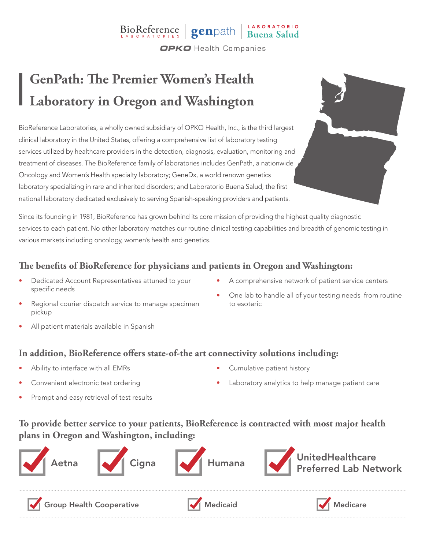# BioReference genpath Buena Salud

**OPKO** Health Companies

## **GenPath: The Premier Women's Health Laboratory in Oregon and Washington**

BioReference Laboratories, a wholly owned subsidiary of OPKO Health, Inc., is the third largest clinical laboratory in the United States, offering a comprehensive list of laboratory testing services utilized by healthcare providers in the detection, diagnosis, evaluation, monitoring and treatment of diseases. The BioReference family of laboratories includes GenPath, a nationwide Oncology and Women's Health specialty laboratory; GeneDx, a world renown genetics laboratory specializing in rare and inherited disorders; and Laboratorio Buena Salud, the first national laboratory dedicated exclusively to serving Spanish-speaking providers and patients.

Since its founding in 1981, BioReference has grown behind its core mission of providing the highest quality diagnostic services to each patient. No other laboratory matches our routine clinical testing capabilities and breadth of genomic testing in various markets including oncology, women's health and genetics.

#### **The benefits of BioReference for physicians and patients in Oregon and Washington:**

- Dedicated Account Representatives attuned to your specific needs
- A comprehensive network of patient service centers

• One lab to handle all of your testing needs–from routine

- Regional courier dispatch service to manage specimen pickup
- All patient materials available in Spanish

#### **In addition, BioReference offers state-of-the art connectivity solutions including:**

- Ability to interface with all EMRs
- Convenient electronic test ordering
- Prompt and easy retrieval of test results

• Cumulative patient history

to esoteric

Laboratory analytics to help manage patient care

### **To provide better service to your patients, BioReference is contracted with most major health plans in Oregon and Washington, including:**